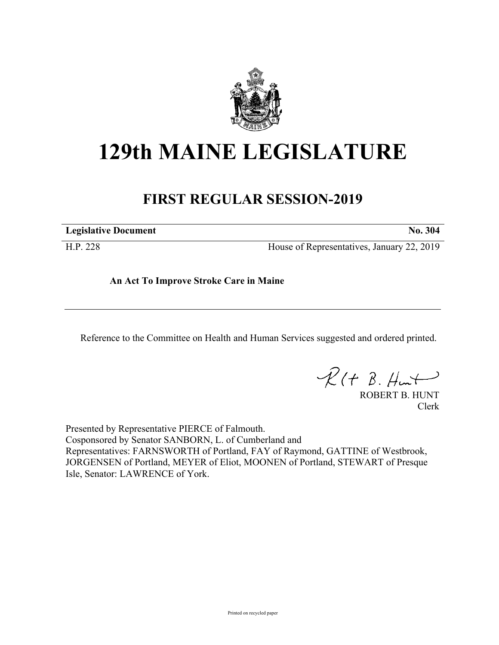

# **129th MAINE LEGISLATURE**

## **FIRST REGULAR SESSION-2019**

**Legislative Document No. 304**

H.P. 228 House of Representatives, January 22, 2019

**An Act To Improve Stroke Care in Maine**

Reference to the Committee on Health and Human Services suggested and ordered printed.

 $R(H B. Hmt)$ 

ROBERT B. HUNT Clerk

Presented by Representative PIERCE of Falmouth. Cosponsored by Senator SANBORN, L. of Cumberland and Representatives: FARNSWORTH of Portland, FAY of Raymond, GATTINE of Westbrook, JORGENSEN of Portland, MEYER of Eliot, MOONEN of Portland, STEWART of Presque Isle, Senator: LAWRENCE of York.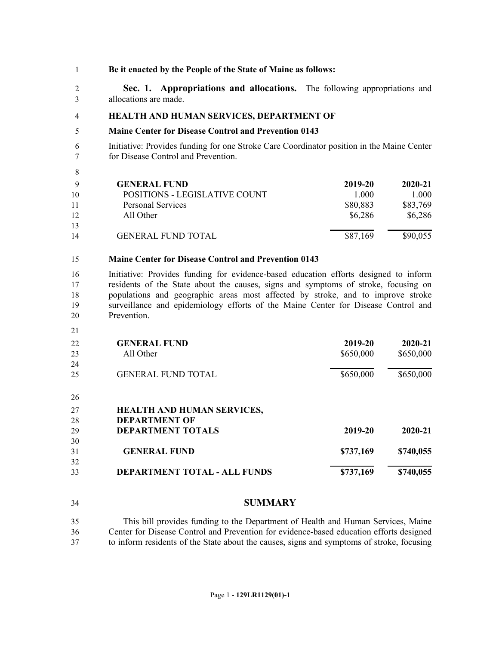### **Be it enacted by the People of the State of Maine as follows:**

 **Sec. 1. Appropriations and allocations.** The following appropriations and allocations are made.

### **HEALTH AND HUMAN SERVICES, DEPARTMENT OF**

### **Maine Center for Disease Control and Prevention 0143**

 Initiative: Provides funding for one Stroke Care Coordinator position in the Maine Center for Disease Control and Prevention.

|     | <b>GENERAL FUND</b>           | 2019-20  | $2020 - 21$ |
|-----|-------------------------------|----------|-------------|
| -10 | POSITIONS - LEGISLATIVE COUNT | 1.000    | 1.000       |
| -11 | <b>Personal Services</b>      | \$80,883 | \$83,769    |
| 12  | All Other                     | \$6,286  | \$6,286     |
| 13  |                               |          |             |
| 14  | <b>GENERAL FUND TOTAL</b>     | \$87,169 | \$90,055    |

### **Maine Center for Disease Control and Prevention 0143**

 Initiative: Provides funding for evidence-based education efforts designed to inform residents of the State about the causes, signs and symptoms of stroke, focusing on populations and geographic areas most affected by stroke, and to improve stroke surveillance and epidemiology efforts of the Maine Center for Disease Control and Prevention.

- **GENERAL FUND 2019-20 2020-21** All Other \$650,000 \$650,000 \$650,000 GENERAL FUND TOTAL 650,000 \$650,000 \$650,000 **HEALTH AND HUMAN SERVICES, DEPARTMENT OF DEPARTMENT TOTALS 2019-20 2020-21 GENERAL FUND \$737,169 \$740,055 DEPARTMENT TOTAL - ALL FUNDS \$737,169 \$740,055**
- **SUMMARY**

 This bill provides funding to the Department of Health and Human Services, Maine Center for Disease Control and Prevention for evidence-based education efforts designed to inform residents of the State about the causes, signs and symptoms of stroke, focusing